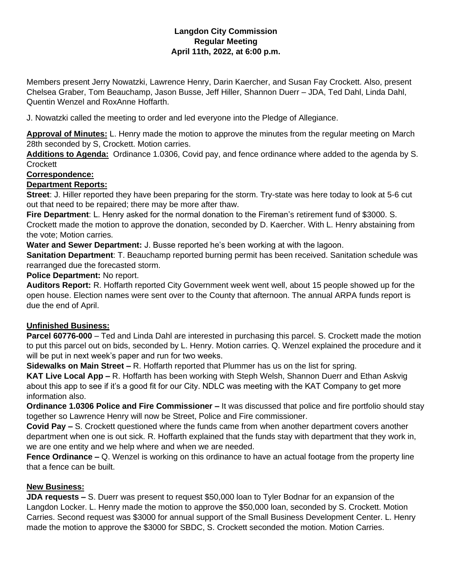### **Langdon City Commission Regular Meeting April 11th, 2022, at 6:00 p.m.**

Members present Jerry Nowatzki, Lawrence Henry, Darin Kaercher, and Susan Fay Crockett. Also, present Chelsea Graber, Tom Beauchamp, Jason Busse, Jeff Hiller, Shannon Duerr – JDA, Ted Dahl, Linda Dahl, Quentin Wenzel and RoxAnne Hoffarth.

J. Nowatzki called the meeting to order and led everyone into the Pledge of Allegiance.

**Approval of Minutes:** L. Henry made the motion to approve the minutes from the regular meeting on March 28th seconded by S, Crockett. Motion carries.

**Additions to Agenda:** Ordinance 1.0306, Covid pay, and fence ordinance where added to the agenda by S. **Crockett** 

### **Correspondence:**

### **Department Reports:**

**Street**: J. Hiller reported they have been preparing for the storm. Try-state was here today to look at 5-6 cut out that need to be repaired; there may be more after thaw.

**Fire Department**: L. Henry asked for the normal donation to the Fireman's retirement fund of \$3000. S. Crockett made the motion to approve the donation, seconded by D. Kaercher. With L. Henry abstaining from the vote; Motion carries.

**Water and Sewer Department:** J. Busse reported he's been working at with the lagoon.

**Sanitation Department**: T. Beauchamp reported burning permit has been received. Sanitation schedule was rearranged due the forecasted storm.

**Police Department:** No report.

**Auditors Report:** R. Hoffarth reported City Government week went well, about 15 people showed up for the open house. Election names were sent over to the County that afternoon. The annual ARPA funds report is due the end of April.

# **Unfinished Business:**

**Parcel 60776-000** – Ted and Linda Dahl are interested in purchasing this parcel. S. Crockett made the motion to put this parcel out on bids, seconded by L. Henry. Motion carries. Q. Wenzel explained the procedure and it will be put in next week's paper and run for two weeks.

**Sidewalks on Main Street –** R. Hoffarth reported that Plummer has us on the list for spring.

**KAT Live Local App –** R. Hoffarth has been working with Steph Welsh, Shannon Duerr and Ethan Askvig about this app to see if it's a good fit for our City. NDLC was meeting with the KAT Company to get more information also.

**Ordinance 1.0306 Police and Fire Commissioner –** It was discussed that police and fire portfolio should stay together so Lawrence Henry will now be Street, Police and Fire commissioner.

**Covid Pay –** S. Crockett questioned where the funds came from when another department covers another department when one is out sick. R. Hoffarth explained that the funds stay with department that they work in, we are one entity and we help where and when we are needed.

**Fence Ordinance –** Q. Wenzel is working on this ordinance to have an actual footage from the property line that a fence can be built.

# **New Business:**

**JDA requests –** S. Duerr was present to request \$50,000 loan to Tyler Bodnar for an expansion of the Langdon Locker. L. Henry made the motion to approve the \$50,000 loan, seconded by S. Crockett. Motion Carries. Second request was \$3000 for annual support of the Small Business Development Center. L. Henry made the motion to approve the \$3000 for SBDC, S. Crockett seconded the motion. Motion Carries.